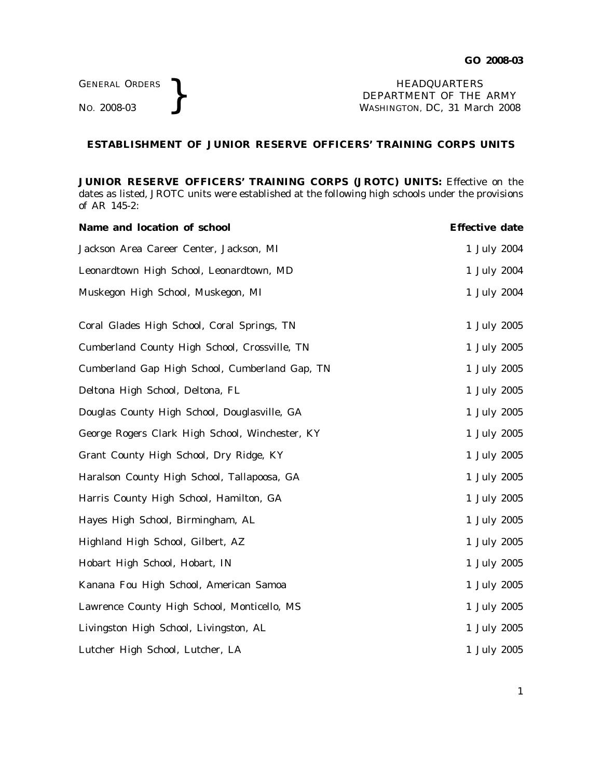NO. 2008-03 } HEADQUARTERS DEPARTMENT OF THE ARMY WASHINGTON, DC, *31 March 2008*

## **ESTABLISHMENT OF JUNIOR RESERVE OFFICERS' TRAINING CORPS UNITS**

**JUNIOR RESERVE OFFICERS' TRAINING CORPS (JROTC) UNITS:** Effective on the dates as listed, JROTC units were established at the following high schools under the provisions of AR 145-2:

| Name and location of school                     | <b>Effective date</b> |
|-------------------------------------------------|-----------------------|
| Jackson Area Career Center, Jackson, MI         | 1 July 2004           |
| Leonardtown High School, Leonardtown, MD        | 1 July 2004           |
| Muskegon High School, Muskegon, MI              | 1 July 2004           |
| Coral Glades High School, Coral Springs, TN     | 1 July 2005           |
| Cumberland County High School, Crossville, TN   | 1 July 2005           |
| Cumberland Gap High School, Cumberland Gap, TN  | 1 July 2005           |
| Deltona High School, Deltona, FL                | 1 July 2005           |
| Douglas County High School, Douglasville, GA    | 1 July 2005           |
| George Rogers Clark High School, Winchester, KY | 1 July 2005           |
| Grant County High School, Dry Ridge, KY         | 1 July 2005           |
| Haralson County High School, Tallapoosa, GA     | 1 July 2005           |
| Harris County High School, Hamilton, GA         | 1 July 2005           |
| Hayes High School, Birmingham, AL               | 1 July 2005           |
| Highland High School, Gilbert, AZ               | 1 July 2005           |
| Hobart High School, Hobart, IN                  | 1 July 2005           |
| Kanana Fou High School, American Samoa          | 1 July 2005           |
| Lawrence County High School, Monticello, MS     | 1 July 2005           |
| Livingston High School, Livingston, AL          | 1 July 2005           |
| Lutcher High School, Lutcher, LA                | 1 July 2005           |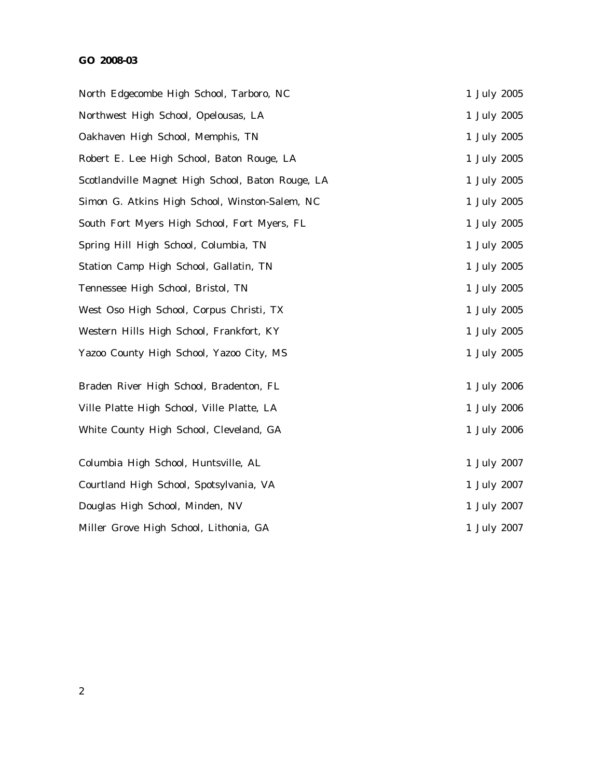## **GO 2008-03**

| North Edgecombe High School, Tarboro, NC          | 1 July 2005 |
|---------------------------------------------------|-------------|
| Northwest High School, Opelousas, LA              | 1 July 2005 |
| Oakhaven High School, Memphis, TN                 | 1 July 2005 |
| Robert E. Lee High School, Baton Rouge, LA        | 1 July 2005 |
| Scotlandville Magnet High School, Baton Rouge, LA | 1 July 2005 |
| Simon G. Atkins High School, Winston-Salem, NC    | 1 July 2005 |
| South Fort Myers High School, Fort Myers, FL      | 1 July 2005 |
| Spring Hill High School, Columbia, TN             | 1 July 2005 |
| Station Camp High School, Gallatin, TN            | 1 July 2005 |
| Tennessee High School, Bristol, TN                | 1 July 2005 |
| West Oso High School, Corpus Christi, TX          | 1 July 2005 |
| Western Hills High School, Frankfort, KY          | 1 July 2005 |
| Yazoo County High School, Yazoo City, MS          | 1 July 2005 |
| Braden River High School, Bradenton, FL           | 1 July 2006 |
| Ville Platte High School, Ville Platte, LA        | 1 July 2006 |
| White County High School, Cleveland, GA           | 1 July 2006 |
| Columbia High School, Huntsville, AL              | 1 July 2007 |
| Courtland High School, Spotsylvania, VA           | 1 July 2007 |
| Douglas High School, Minden, NV                   | 1 July 2007 |
| Miller Grove High School, Lithonia, GA            | 1 July 2007 |